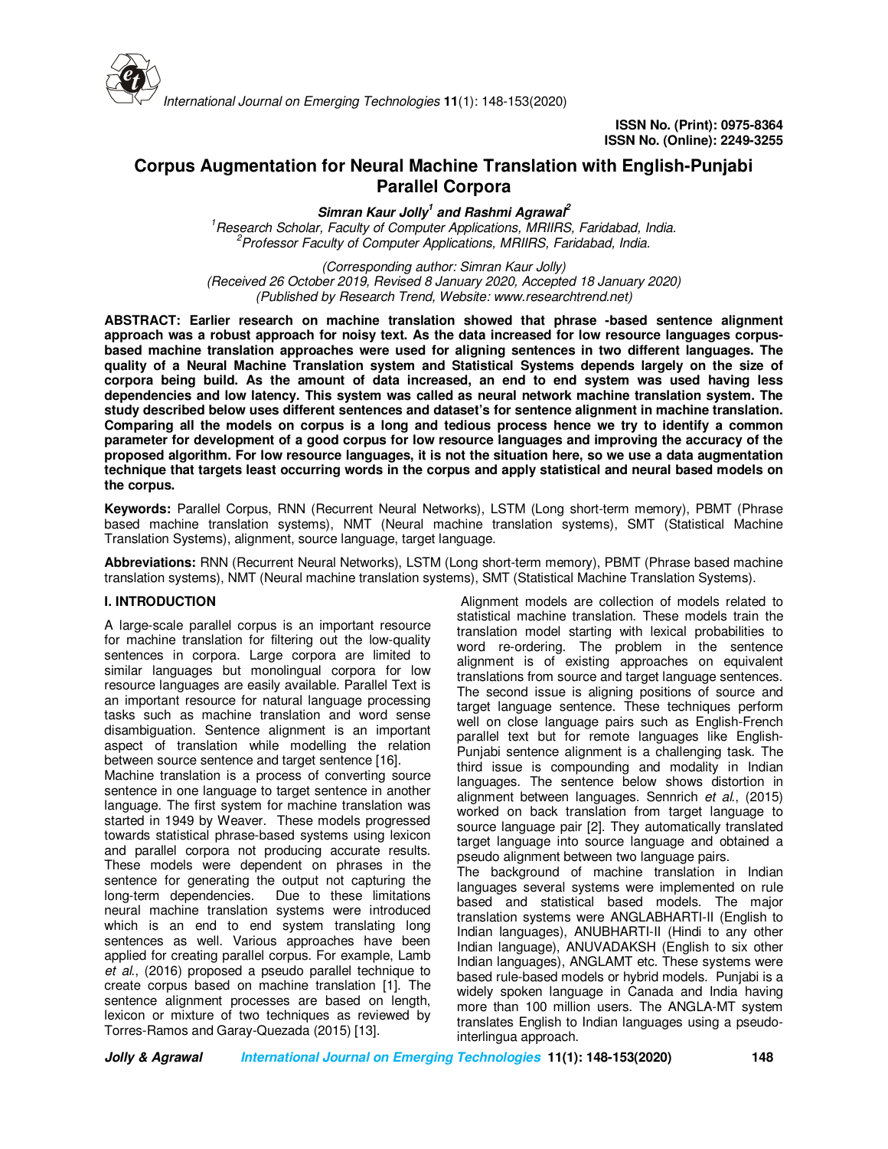

# **Corpus Augmentation for Neural Machine Translation with English-Punjabi Parallel Corpora**

**Simran Kaur Jolly<sup>1</sup> and Rashmi Agrawal<sup>2</sup>**

*<sup>1</sup>Research Scholar, Faculty of Computer Applications, MRIIRS, Faridabad, India. <sup>2</sup>Professor Faculty of Computer Applications, MRIIRS, Faridabad, India.* 

*(Corresponding author: Simran Kaur Jolly) (Received 26 October 2019, Revised 8 January 2020, Accepted 18 January 2020) (Published by Research Trend, Website: www.researchtrend.net)*

**ABSTRACT: Earlier research on machine translation showed that phrase -based sentence alignment approach was a robust approach for noisy text. As the data increased for low resource languages corpusbased machine translation approaches were used for aligning sentences in two different languages. The quality of a Neural Machine Translation system and Statistical Systems depends largely on the size of corpora being build. As the amount of data increased, an end to end system was used having less dependencies and low latency. This system was called as neural network machine translation system. The study described below uses different sentences and dataset's for sentence alignment in machine translation. Comparing all the models on corpus is a long and tedious process hence we try to identify a common parameter for development of a good corpus for low resource languages and improving the accuracy of the proposed algorithm. For low resource languages, it is not the situation here, so we use a data augmentation technique that targets least occurring words in the corpus and apply statistical and neural based models on the corpus.** 

**Keywords:** Parallel Corpus, RNN (Recurrent Neural Networks), LSTM (Long short-term memory), PBMT (Phrase based machine translation systems), NMT (Neural machine translation systems), SMT (Statistical Machine Translation Systems), alignment, source language, target language.

**Abbreviations:** RNN (Recurrent Neural Networks), LSTM (Long short-term memory), PBMT (Phrase based machine translation systems), NMT (Neural machine translation systems), SMT (Statistical Machine Translation Systems).

## **I. INTRODUCTION**

A large-scale parallel corpus is an important resource for machine translation for filtering out the low-quality sentences in corpora. Large corpora are limited to similar languages but monolingual corpora for low resource languages are easily available. Parallel Text is an important resource for natural language processing tasks such as machine translation and word sense disambiguation. Sentence alignment is an important aspect of translation while modelling the relation between source sentence and target sentence [16]. Machine translation is a process of converting source

sentence in one language to target sentence in another language. The first system for machine translation was started in 1949 by Weaver. These models progressed towards statistical phrase-based systems using lexicon and parallel corpora not producing accurate results. These models were dependent on phrases in the sentence for generating the output not capturing the long-term dependencies. Due to these limitations neural machine translation systems were introduced which is an end to end system translating long sentences as well. Various approaches have been applied for creating parallel corpus. For example, Lamb *et al*., (2016) proposed a pseudo parallel technique to create corpus based on machine translation [1]. The sentence alignment processes are based on length, lexicon or mixture of two techniques as reviewed by Torres-Ramos and Garay-Quezada (2015) [13].

 Alignment models are collection of models related to statistical machine translation. These models train the translation model starting with lexical probabilities to word re-ordering. The problem in the sentence alignment is of existing approaches on equivalent translations from source and target language sentences. The second issue is aligning positions of source and target language sentence. These techniques perform well on close language pairs such as English-French parallel text but for remote languages like English-Punjabi sentence alignment is a challenging task. The third issue is compounding and modality in Indian languages. The sentence below shows distortion in alignment between languages. Sennrich *et al*., (2015) worked on back translation from target language to source language pair [2]. They automatically translated target language into source language and obtained a pseudo alignment between two language pairs.

The background of machine translation in Indian languages several systems were implemented on rule based and statistical based models. The major translation systems were ANGLABHARTI-II (English to Indian languages), ANUBHARTI-II (Hindi to any other Indian language), ANUVADAKSH (English to six other Indian languages), ANGLAMT etc. These systems were based rule-based models or hybrid models. Punjabi is a widely spoken language in Canada and India having more than 100 million users. The ANGLA-MT system translates English to Indian languages using a pseudointerlingua approach.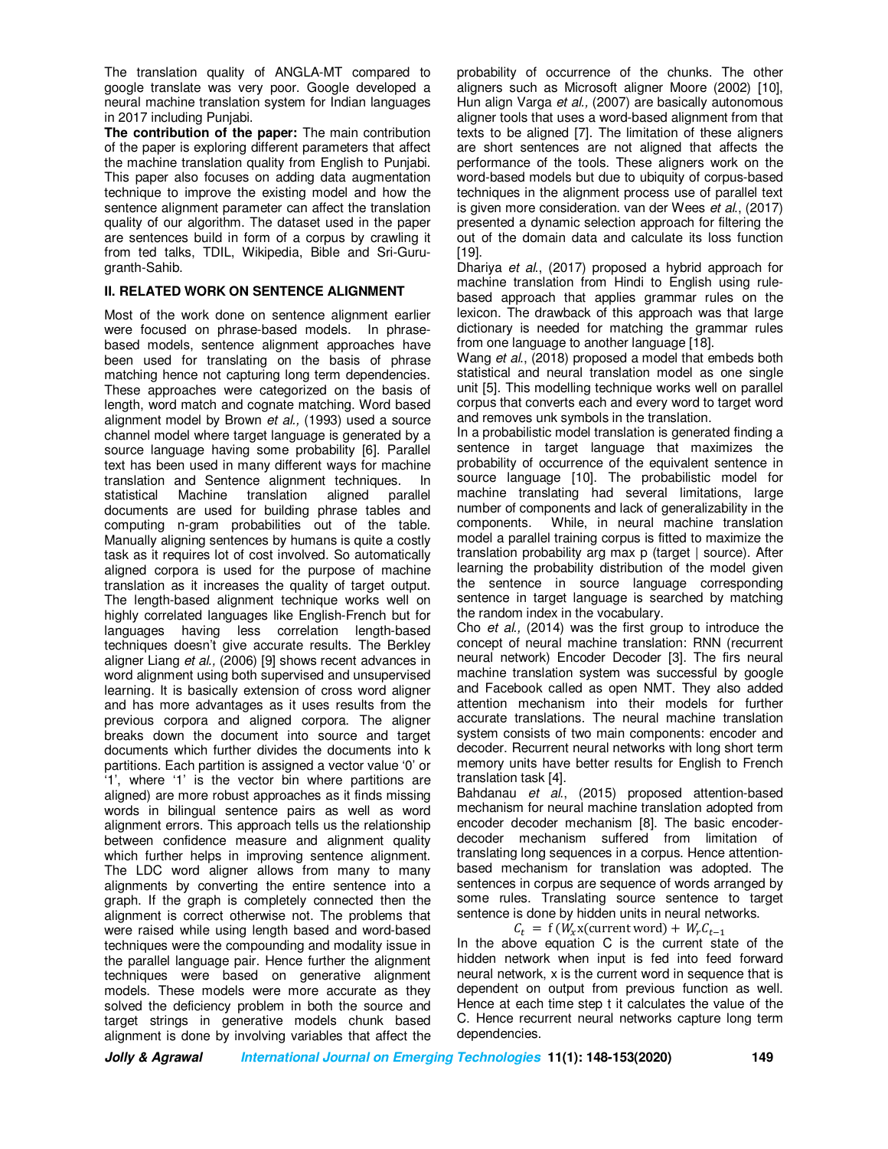The translation quality of ANGLA-MT compared to google translate was very poor. Google developed a neural machine translation system for Indian languages in 2017 including Punjabi.

**The contribution of the paper:** The main contribution of the paper is exploring different parameters that affect the machine translation quality from English to Punjabi. This paper also focuses on adding data augmentation technique to improve the existing model and how the sentence alignment parameter can affect the translation quality of our algorithm. The dataset used in the paper are sentences build in form of a corpus by crawling it from ted talks, TDIL, Wikipedia, Bible and Sri-Gurugranth-Sahib.

# **II. RELATED WORK ON SENTENCE ALIGNMENT**

Most of the work done on sentence alignment earlier were focused on phrase-based models. In phrasebased models, sentence alignment approaches have been used for translating on the basis of phrase matching hence not capturing long term dependencies. These approaches were categorized on the basis of length, word match and cognate matching. Word based alignment model by Brown *et al.,* (1993) used a source channel model where target language is generated by a source language having some probability [6]. Parallel text has been used in many different ways for machine translation and Sentence alignment techniques. In statistical Machine translation aligned documents are used for building phrase tables and computing n-gram probabilities out of the table. Manually aligning sentences by humans is quite a costly task as it requires lot of cost involved. So automatically aligned corpora is used for the purpose of machine translation as it increases the quality of target output. The length-based alignment technique works well on highly correlated languages like English-French but for languages having less correlation length-based techniques doesn't give accurate results. The Berkley aligner Liang *et al.,* (2006) [9] shows recent advances in word alignment using both supervised and unsupervised learning. It is basically extension of cross word aligner and has more advantages as it uses results from the previous corpora and aligned corpora. The aligner breaks down the document into source and target documents which further divides the documents into k partitions. Each partition is assigned a vector value '0' or '1', where '1' is the vector bin where partitions are aligned) are more robust approaches as it finds missing words in bilingual sentence pairs as well as word alignment errors. This approach tells us the relationship between confidence measure and alignment quality which further helps in improving sentence alignment. The LDC word aligner allows from many to many alignments by converting the entire sentence into a graph. If the graph is completely connected then the alignment is correct otherwise not. The problems that were raised while using length based and word-based techniques were the compounding and modality issue in the parallel language pair. Hence further the alignment techniques were based on generative alignment models. These models were more accurate as they solved the deficiency problem in both the source and target strings in generative models chunk based alignment is done by involving variables that affect the

probability of occurrence of the chunks. The other aligners such as Microsoft aligner Moore (2002) [10], Hun align Varga *et al.,* (2007) are basically autonomous aligner tools that uses a word-based alignment from that texts to be aligned [7]. The limitation of these aligners are short sentences are not aligned that affects the performance of the tools. These aligners work on the word-based models but due to ubiquity of corpus-based techniques in the alignment process use of parallel text is given more consideration. van der Wees *et al*., (2017) presented a dynamic selection approach for filtering the out of the domain data and calculate its loss function [19].

Dhariya *et al*., (2017) proposed a hybrid approach for machine translation from Hindi to English using rulebased approach that applies grammar rules on the lexicon. The drawback of this approach was that large dictionary is needed for matching the grammar rules from one language to another language [18].

Wang *et al*., (2018) proposed a model that embeds both statistical and neural translation model as one single unit [5]. This modelling technique works well on parallel corpus that converts each and every word to target word and removes unk symbols in the translation.

In a probabilistic model translation is generated finding a sentence in target language that maximizes the probability of occurrence of the equivalent sentence in source language [10]. The probabilistic model for machine translating had several limitations, large number of components and lack of generalizability in the components. While, in neural machine translation model a parallel training corpus is fitted to maximize the translation probability arg max p (target | source). After learning the probability distribution of the model given the sentence in source language corresponding sentence in target language is searched by matching the random index in the vocabulary.

Cho *et al.,* (2014) was the first group to introduce the concept of neural machine translation: RNN (recurrent neural network) Encoder Decoder [3]. The firs neural machine translation system was successful by google and Facebook called as open NMT. They also added attention mechanism into their models for further accurate translations. The neural machine translation system consists of two main components: encoder and decoder. Recurrent neural networks with long short term memory units have better results for English to French translation task [4].

Bahdanau *et al*., (2015) proposed attention-based mechanism for neural machine translation adopted from encoder decoder mechanism [8]. The basic encoderdecoder mechanism suffered from limitation of translating long sequences in a corpus. Hence attentionbased mechanism for translation was adopted. The sentences in corpus are sequence of words arranged by some rules. Translating source sentence to target sentence is done by hidden units in neural networks.

 $C_t = f(W_x x$ (current word) +  $W_r C_{t-1}$ 

 In the above equation C is the current state of the hidden network when input is fed into feed forward neural network, x is the current word in sequence that is dependent on output from previous function as well. Hence at each time step t it calculates the value of the C. Hence recurrent neural networks capture long term dependencies.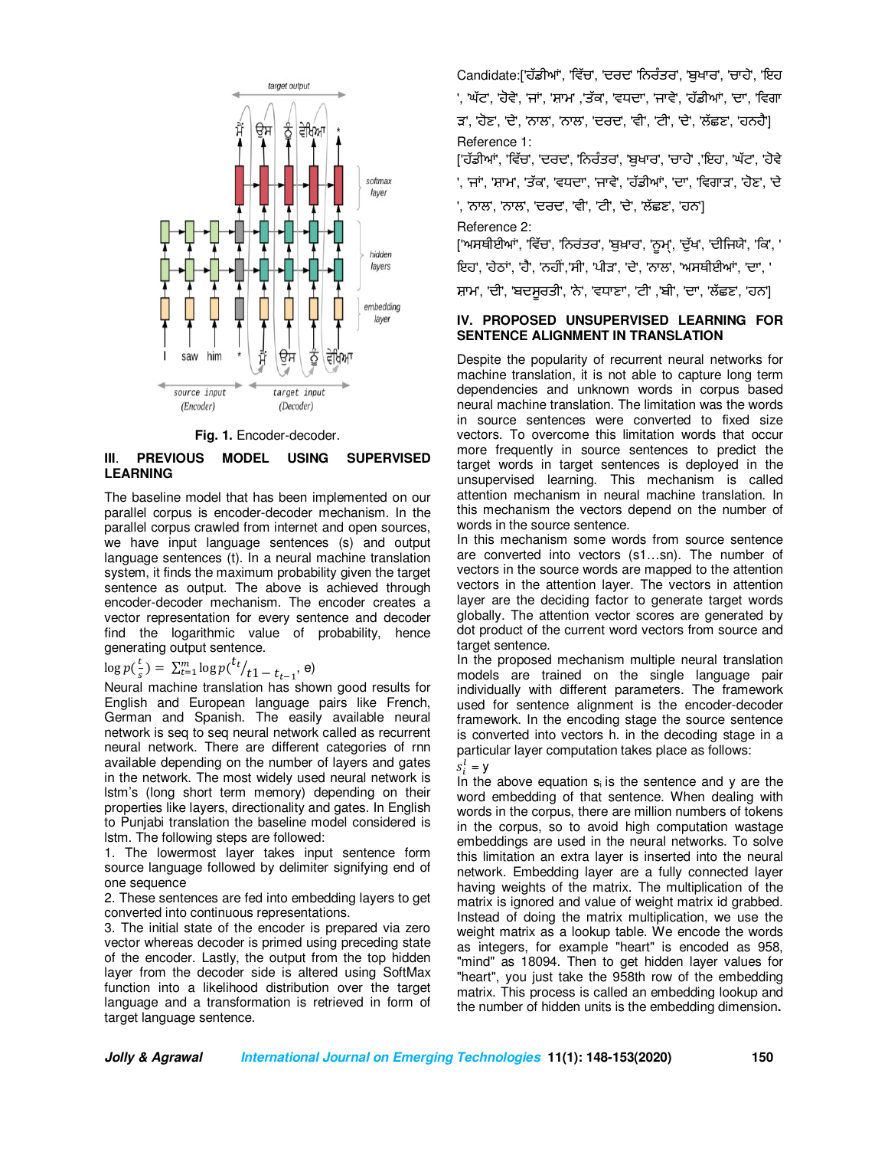

**Fig. 1.** Encoder-decoder.

## **III**. **PREVIOUS MODEL USING SUPERVISED LEARNING**

The baseline model that has been implemented on our parallel corpus is encoder-decoder mechanism. In the parallel corpus crawled from internet and open sources, we have input language sentences (s) and output language sentences (t). In a neural machine translation system, it finds the maximum probability given the target sentence as output. The above is achieved through encoder-decoder mechanism. The encoder creates a vector representation for every sentence and decoder find the logarithmic value of probability, hence generating output sentence.

# $\log p(\frac{t}{s}) = \sum_{t=1}^{m} \log p(\frac{t_t}{t+1} - t_{t-1}, e)$

Neural machine translation has shown good results for English and European language pairs like French, German and Spanish. The easily available neural network is seq to seq neural network called as recurrent neural network. There are different categories of rnn available depending on the number of layers and gates in the network. The most widely used neural network is lstm's (long short term memory) depending on their properties like layers, directionality and gates. In English to Punjabi translation the baseline model considered is lstm. The following steps are followed:

1. The lowermost layer takes input sentence form source language followed by delimiter signifying end of one sequence

2. These sentences are fed into embedding layers to get converted into continuous representations.

3. The initial state of the encoder is prepared via zero vector whereas decoder is primed using preceding state of the encoder. Lastly, the output from the top hidden layer from the decoder side is altered using SoftMax function into a likelihood distribution over the target language and a transformation is retrieved in form of target language sentence.

Candidate:['ਹੱਡੀਆਂ', 'ਵਿੱਚ', 'ਦਰਦ' 'ਨਿਰੰਤਰ', 'ਬਖਾਰ', 'ਚਾਹੇ', 'ਇਹ '. 'ਘੱਟ'. 'ਹੋਵੇ', 'ਜਾਂ', 'ਸ਼ਾਮ' ,'ਤੱਕ', 'ਵਧਦਾ', 'ਜਾਵੇ', 'ਹੱਡੀਆਂ', 'ਦਾ', 'ਵਿਗਾ ੜ', 'ਹੋਣ', 'ਦੇ', 'ਨਾਲ', 'ਨਾਲ', 'ਦਰਦ', 'ਵੀ', 'ਟੀ', 'ਦੇ', 'ਲੱ ਛਣ', 'ਹਨਹੈ'] Reference 1:

['ਹੱਡੀਆਂ', 'ਵਿੱਚ', 'ਦਰਦ', 'ਨਿਰੰਤਰ', 'ਬੁਖਾਰ', 'ਚਾਹੇ' ,'ਇਹ', 'ਘੱਟ', 'ਹੋਵੇ ', 'ਜਾਂ', 'ਸ਼ਾਮ', 'ਤੱਕ', 'ਵਧਦਾ', 'ਜਾਵੇ', 'ਹੱਡੀਆਂ', 'ਦਾ', 'ਵਿਗਾੜ', 'ਹੋਣ', 'ਦੇ

', 'ਨਾਲ', 'ਨਾਲ', 'ਦਰਦ', 'ਵੀ', 'ਟੀ', 'ਦੇ', 'ਲੱਛਣ', 'ਹਨ']

Reference 2:

['ਅਸਥੀਈਆਂ', 'ਵਿੱਚ', 'ਨਿਰਂਤਰ', 'ਬੁਖ਼ਾਰ', 'ਨੂਮ੍', 'ਦੁੱਖ', 'ਦੀਜਿਯੇ', 'ਕਿ', '

ਇਹ', 'ਹੇਠ', 'ਹੈ', 'ਨਹ-','ਸੀ', 'ਪੀੜ', 'ਦੇ', 'ਨਾਲ', 'ਅਸਥੀਈਆਂ', 'ਦਾ', '

ਸ਼ਾਮ', 'ਦੀ', 'ਬਦਸੂਰਤੀ', 'ਨੇ', 'ਵਧਾਣਾ', 'ਟੀ' ,'ਬੀ', 'ਦਾ', 'ਲੱਛਣ', 'ਹਨ']

# **IV. PROPOSED UNSUPERVISED LEARNING FOR SENTENCE ALIGNMENT IN TRANSLATION**

Despite the popularity of recurrent neural networks for machine translation, it is not able to capture long term dependencies and unknown words in corpus based neural machine translation. The limitation was the words in source sentences were converted to fixed size vectors. To overcome this limitation words that occur more frequently in source sentences to predict the target words in target sentences is deployed in the unsupervised learning. This mechanism is called attention mechanism in neural machine translation. In this mechanism the vectors depend on the number of words in the source sentence.

In this mechanism some words from source sentence are converted into vectors (s1…sn). The number of vectors in the source words are mapped to the attention vectors in the attention layer. The vectors in attention layer are the deciding factor to generate target words globally. The attention vector scores are generated by dot product of the current word vectors from source and target sentence.

In the proposed mechanism multiple neural translation models are trained on the single language pair individually with different parameters. The framework used for sentence alignment is the encoder-decoder framework. In the encoding stage the source sentence is converted into vectors h. in the decoding stage in a particular layer computation takes place as follows:  $s_i^l = y$ 

In the above equation  $s_i$  is the sentence and y are the word embedding of that sentence. When dealing with words in the corpus, there are million numbers of tokens in the corpus, so to avoid high computation wastage embeddings are used in the neural networks. To solve this limitation an extra layer is inserted into the neural network. Embedding layer are a fully connected layer having weights of the matrix. The multiplication of the matrix is ignored and value of weight matrix id grabbed. Instead of doing the matrix multiplication, we use the weight matrix as a lookup table. We encode the words as integers, for example "heart" is encoded as 958, "mind" as 18094. Then to get hidden layer values for "heart", you just take the 958th row of the embedding matrix. This process is called an embedding lookup and the number of hidden units is the embedding dimension**.**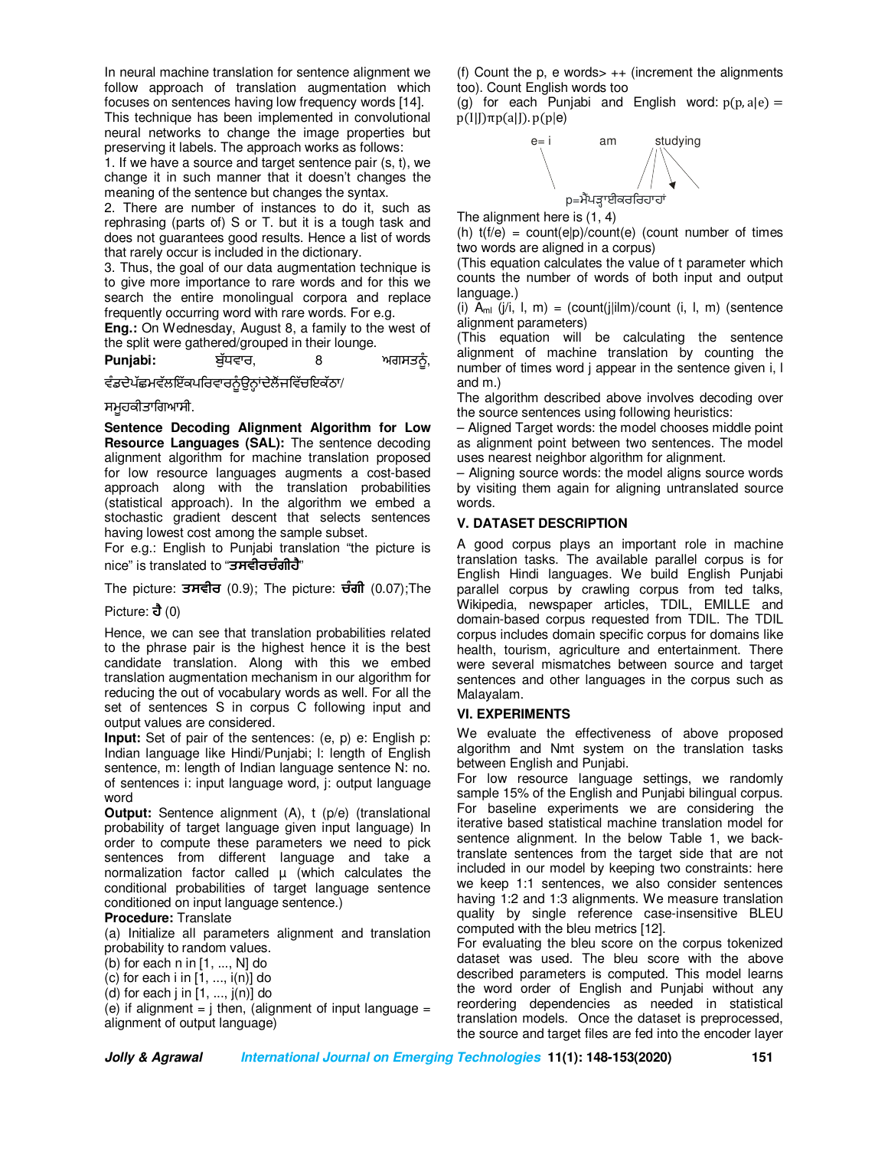In neural machine translation for sentence alignment we follow approach of translation augmentation which focuses on sentences having low frequency words [14]. This technique has been implemented in convolutional neural networks to change the image properties but preserving it labels. The approach works as follows:

1. If we have a source and target sentence pair (s, t), we change it in such manner that it doesn't changes the meaning of the sentence but changes the syntax.

2. There are number of instances to do it, such as rephrasing (parts of) S or T. but it is a tough task and does not guarantees good results. Hence a list of words that rarely occur is included in the dictionary.

3. Thus, the goal of our data augmentation technique is to give more importance to rare words and for this we search the entire monolingual corpora and replace frequently occurring word with rare words. For e.g.

**Eng.:** On Wednesday, August 8, a family to the west of the split were gathered/grouped in their lounge.

**Punjabi:** ਬੱਧਵਾਰ, 8 ਅਗਸਤਨੰ,

ਵੰਡਦੇਪੱਛਮਵੱਲਇੱਕਪਰਿਵਾਰਨੂੰਉਨ੍ਹਾਂਦੇਲੈਂਜਵਿੱਚਇਕੱਠਾ/

ਸਮੂਹਕੀਤਾਿਗਆਸੀ.

**Sentence Decoding Alignment Algorithm for Low Resource Languages (SAL):** The sentence decoding alignment algorithm for machine translation proposed for low resource languages augments a cost-based approach along with the translation probabilities (statistical approach). In the algorithm we embed a stochastic gradient descent that selects sentences having lowest cost among the sample subset.

For e.g.: English to Punjabi translation "the picture is nice" is translated to "**ਤਸਵੀਰਚੰ ਗੀਹੈ**"

The picture: **ਤਸਵੀਰ** (0.9); The picture: **ਚੰ ਗੀ** (0.07);The

Picture: **ਹੈ** (0)

Hence, we can see that translation probabilities related to the phrase pair is the highest hence it is the best candidate translation. Along with this we embed translation augmentation mechanism in our algorithm for reducing the out of vocabulary words as well. For all the set of sentences S in corpus C following input and output values are considered.

**Input:** Set of pair of the sentences: (e, p) e: English p: Indian language like Hindi/Punjabi; l: length of English sentence, m: length of Indian language sentence N: no. of sentences i: input language word, j: output language word

**Output:** Sentence alignment (A), t (p/e) (translational probability of target language given input language) In order to compute these parameters we need to pick sentences from different language and take a normalization factor called  $\mu$  (which calculates the conditional probabilities of target language sentence conditioned on input language sentence.)

## **Procedure:** Translate

(a) Initialize all parameters alignment and translation probability to random values.

(b) for each n in [1, ..., N] do

(c) for each  $i$  in  $[1, ..., i(n)]$  do

(d) for each j in  $[1, ..., j(n)]$  do

(e) if alignment =  $\frac{1}{2}$  then, (alignment of input language = alignment of output language)

(f) Count the p, e words  $+$  (increment the alignments too). Count English words too

(g) for each Punjabi and English word:  $p(p, a|e) =$  $p(I|J)\pi p(a|J)$ .  $p(p|e)$ 



The alignment here is (1, 4)

(h)  $t(f/e) = count(e|p)/count(e)$  (count number of times two words are aligned in a corpus)

(This equation calculates the value of t parameter which counts the number of words of both input and output language.)

(i)  $A_{ml}$  (j/i, l, m) = (count(j|ilm)/count (i, l, m) (sentence alignment parameters)

(This equation will be calculating the sentence alignment of machine translation by counting the number of times word j appear in the sentence given i, l and m.)

The algorithm described above involves decoding over the source sentences using following heuristics:

– Aligned Target words: the model chooses middle point as alignment point between two sentences. The model uses nearest neighbor algorithm for alignment.

– Aligning source words: the model aligns source words by visiting them again for aligning untranslated source words.

## **V. DATASET DESCRIPTION**

A good corpus plays an important role in machine translation tasks. The available parallel corpus is for English Hindi languages. We build English Punjabi parallel corpus by crawling corpus from ted talks, Wikipedia, newspaper articles, TDIL, EMILLE and domain-based corpus requested from TDIL. The TDIL corpus includes domain specific corpus for domains like health, tourism, agriculture and entertainment. There were several mismatches between source and target sentences and other languages in the corpus such as Malayalam.

## **VI. EXPERIMENTS**

We evaluate the effectiveness of above proposed algorithm and Nmt system on the translation tasks between English and Punjabi.

For low resource language settings, we randomly sample 15% of the English and Punjabi bilingual corpus. For baseline experiments we are considering the iterative based statistical machine translation model for sentence alignment. In the below Table 1, we backtranslate sentences from the target side that are not included in our model by keeping two constraints: here we keep 1:1 sentences, we also consider sentences having 1:2 and 1:3 alignments. We measure translation quality by single reference case-insensitive BLEU computed with the bleu metrics [12].

For evaluating the bleu score on the corpus tokenized dataset was used. The bleu score with the above described parameters is computed. This model learns the word order of English and Punjabi without any reordering dependencies as needed in statistical translation models. Once the dataset is preprocessed, the source and target files are fed into the encoder layer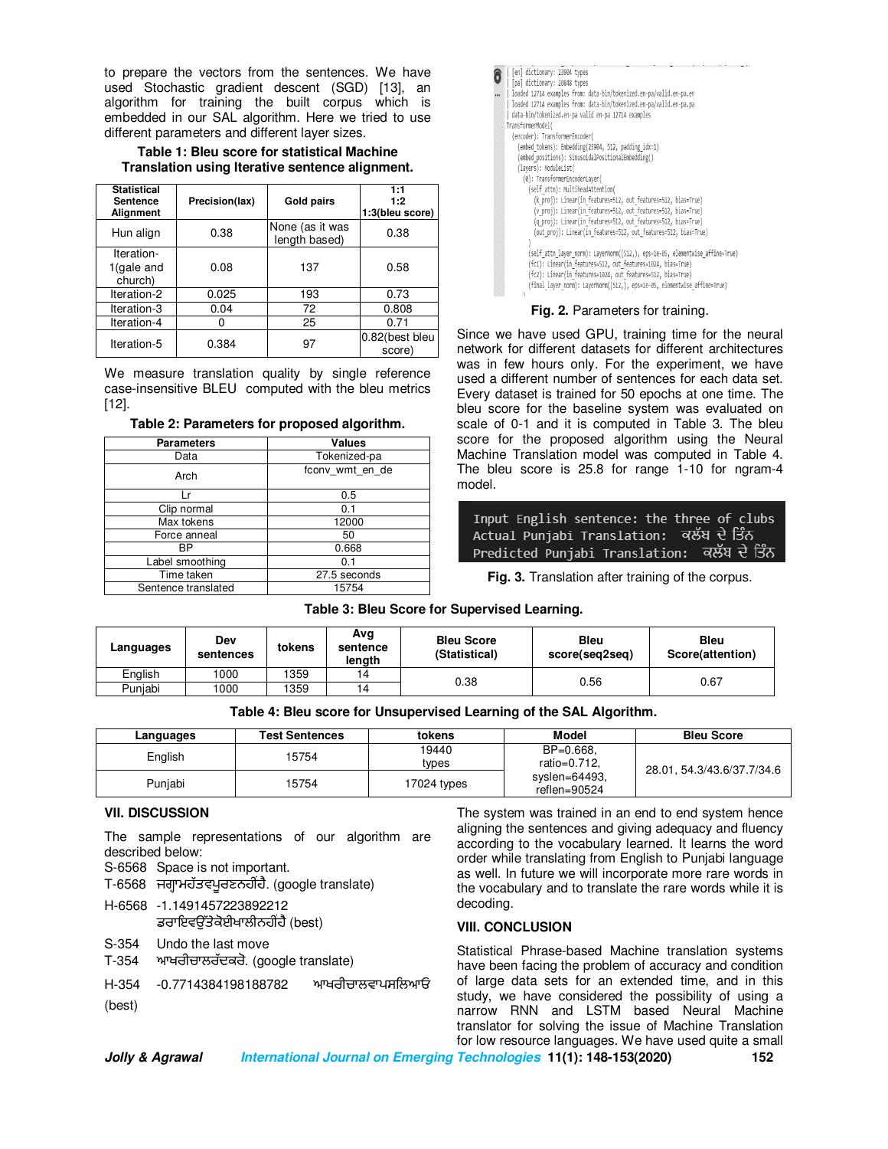to prepare the vectors from the sentences. We have used Stochastic gradient descent (SGD) [13], an algorithm for training the built corpus which is embedded in our SAL algorithm. Here we tried to use different parameters and different layer sizes.

#### **Table 1: Bleu score for statistical Machine Translation using Iterative sentence alignment.**

| <b>Statistical</b><br><b>Sentence</b><br><b>Alignment</b> | Precision(lax) | Gold pairs                       | 1:1<br>1:2<br>1:3(bleu score) |
|-----------------------------------------------------------|----------------|----------------------------------|-------------------------------|
| Hun align                                                 | 0.38           | None (as it was<br>length based) | 0.38                          |
| Iteration-<br>1(gale and<br>church)                       | 0.08           | 137                              | 0.58                          |
| Iteration-2                                               | 0.025          | 193                              | 0.73                          |
| Iteration-3                                               | 0.04           | 72                               | 0.808                         |
| Iteration-4                                               |                | 25                               | 0.71                          |
| Iteration-5                                               | 0.384          | 97                               | 0.82(best bleu<br>score)      |

We measure translation quality by single reference case-insensitive BLEU computed with the bleu metrics [12].

#### **Table 2: Parameters for proposed algorithm.**

| <b>Parameters</b>   | <b>Values</b>   |  |
|---------------------|-----------------|--|
| Data                | Tokenized-pa    |  |
| Arch                | fconv wmt en de |  |
| l r                 | 0.5             |  |
| Clip normal         | 0.1             |  |
| Max tokens          | 12000           |  |
| Force anneal        | 50              |  |
| <b>BP</b>           | 0.668           |  |
| Label smoothing     | 0.1             |  |
| Time taken          | 27.5 seconds    |  |
| Sentence translated | 15754           |  |

| [en] dictionary: 23904 types                                                  |
|-------------------------------------------------------------------------------|
| [pa] dictionary: 20848 types                                                  |
| loaded 12714 examples from: data-bin/tokenized.en-pa/valid.en-pa.en           |
| loaded 12714 examples from: data-bin/tokenized.en-pa/valid.en-pa.pa           |
| data-bin/tokenized.en-pa valid en-pa 12714 examples                           |
| TransformerModel(                                                             |
| (encoder): TransformerEncoder(                                                |
| (embed tokens): Embedding(23904, 512, padding idx=1)                          |
| (embed positions): SinusoidalPositionalEmbedding()                            |
| (layers): ModuleList(                                                         |
| (0): TransformerEncoderLayer(                                                 |
|                                                                               |
| (self attn): MultiheadAttention(                                              |
| (k proj): Linear(in features=512, out features=512, bias=True)                |
| (v proj): Linear(in features=512, out features=512, bias=True)                |
| (q proj): Linear(in features=512, out features=512, bias=True)                |
| (out proj): Linear(in features=512, out features=512, bias=True)              |
|                                                                               |
| (self attn layer norm): LayerNorm((512,), eps=1e-05, elementwise affine=True) |
| (fc1): Linear(in features=512, out features=1024, bias=True)                  |
| (fc2): Linear(in features=1024, out features=512, bias=True)                  |
| (final layer norm): LayerNorm((512,), eps=1e-05, elementwise affine=True)     |
|                                                                               |

#### **Fig. 2.** Parameters for training.

Since we have used GPU, training time for the neural network for different datasets for different architectures was in few hours only. For the experiment, we have used a different number of sentences for each data set. Every dataset is trained for 50 epochs at one time. The bleu score for the baseline system was evaluated on scale of 0-1 and it is computed in Table 3. The bleu score for the proposed algorithm using the Neural Machine Translation model was computed in Table 4. The bleu score is 25.8 for range 1-10 for ngram-4 model.

Input English sentence: the three of clubs Actual Punjabi Translation: ਕਲੱਬ ਦੇ ਤਿੰਨ Predicted Punjabi Translation: ਕਲੱਬ ਦੇ ਤਿੰਨ

**Fig. 3.** Translation after training of the corpus.

**Table 3: Bleu Score for Supervised Learning.** 

| Languages | Dev<br>sentences | tokens | Avg<br>sentence<br>length | <b>Bleu Score</b><br>(Statistical) | <b>Bleu</b><br>score(seq2seq) | <b>Bleu</b><br>Score(attention) |
|-----------|------------------|--------|---------------------------|------------------------------------|-------------------------------|---------------------------------|
| English   | 1000             | 1359   | 14                        | 0.38                               |                               | 0.67                            |
| Puniabi   | 1000             | 1359   | 14                        |                                    | 0.56                          |                                 |

|  | Table 4: Bleu score for Unsupervised Learning of the SAL Algorithm. |
|--|---------------------------------------------------------------------|
|  |                                                                     |

| Languages | <b>Test Sentences</b> | tokens      | Model                         | <b>Bleu Score</b>          |
|-----------|-----------------------|-------------|-------------------------------|----------------------------|
| English   | 15754                 | 19440       | BP=0.668,                     |                            |
|           |                       | types       | ratio=0.712.                  | 28.01, 54.3/43.6/37.7/34.6 |
| Punjabi   | 15754                 | 17024 types | syslen=64493,<br>reflen=90524 |                            |

# **VII. DISCUSSION**

The sample representations of our algorithm are described below: S-6568 Space is not important. T-6568 ਜਗ੍ਹਾਮਹੱਤਵਪੂਰਣਨਹੀਂਹੈ. (google translate) H-6568 -1.1491457223892212 ਡਰਾਇਵੳੱਤੇਕੋਈਖਾਲੀਨਹੀਂਹੈ (best) S-354 Undo the last move T-354 ਆਖਰੀਚਾਲਰੱਦਕਰੋ. (google translate) H-354 -0.7714384198188782 ਆਖਰੀਚਾਲਵਾਪਸਿਲਆਓ (best)

The system was trained in an end to end system hence aligning the sentences and giving adequacy and fluency according to the vocabulary learned. It learns the word order while translating from English to Punjabi language as well. In future we will incorporate more rare words in the vocabulary and to translate the rare words while it is decoding.

#### **VIII. CONCLUSION**

Statistical Phrase-based Machine translation systems have been facing the problem of accuracy and condition of large data sets for an extended time, and in this study, we have considered the possibility of using a narrow RNN and LSTM based Neural Machine translator for solving the issue of Machine Translation for low resource languages. We have used quite a small

**Jolly & Agrawal International Journal on Emerging Technologies 11(1): 148-153(2020) 152**